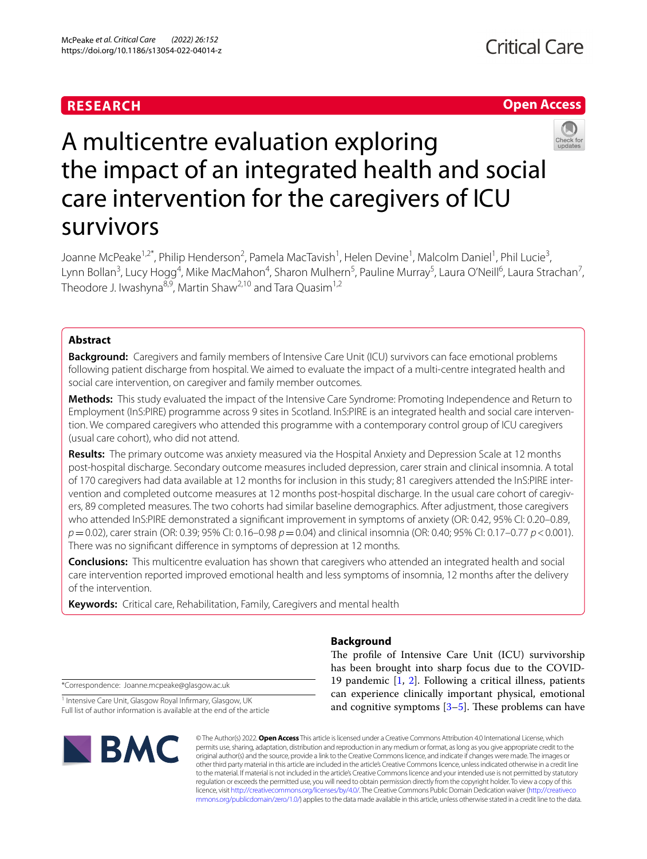## **RESEARCH**





# A multicentre evaluation exploring the impact of an integrated health and social care intervention for the caregivers of ICU survivors

Joanne McPeake<sup>1,2\*</sup>, Philip Henderson<sup>2</sup>, Pamela MacTavish<sup>1</sup>, Helen Devine<sup>1</sup>, Malcolm Daniel<sup>1</sup>, Phil Lucie<sup>3</sup>, Lynn Bollan<sup>3</sup>, Lucy Hogg<sup>4</sup>, Mike MacMahon<sup>4</sup>, Sharon Mulhern<sup>5</sup>, Pauline Murray<sup>5</sup>, Laura O'Neill<sup>6</sup>, Laura Strachan<sup>7</sup>, Theodore J. Iwashyna<sup>8,9</sup>, Martin Shaw<sup>2,10</sup> and Tara Quasim<sup>1,2</sup>

## **Abstract**

**Background:** Caregivers and family members of Intensive Care Unit (ICU) survivors can face emotional problems following patient discharge from hospital. We aimed to evaluate the impact of a multi-centre integrated health and social care intervention, on caregiver and family member outcomes.

**Methods:** This study evaluated the impact of the Intensive Care Syndrome: Promoting Independence and Return to Employment (InS:PIRE) programme across 9 sites in Scotland. InS:PIRE is an integrated health and social care intervention. We compared caregivers who attended this programme with a contemporary control group of ICU caregivers (usual care cohort), who did not attend.

**Results:** The primary outcome was anxiety measured via the Hospital Anxiety and Depression Scale at 12 months post-hospital discharge. Secondary outcome measures included depression, carer strain and clinical insomnia. A total of 170 caregivers had data available at 12 months for inclusion in this study; 81 caregivers attended the InS:PIRE intervention and completed outcome measures at 12 months post-hospital discharge. In the usual care cohort of caregivers, 89 completed measures. The two cohorts had similar baseline demographics. After adjustment, those caregivers who attended InS:PIRE demonstrated a signifcant improvement in symptoms of anxiety (OR: 0.42, 95% CI: 0.20–0.89, *p*=0.02), carer strain (OR: 0.39; 95% CI: 0.16–0.98 *p*=0.04) and clinical insomnia (OR: 0.40; 95% CI: 0.17–0.77 *p*<0.001). There was no signifcant diference in symptoms of depression at 12 months.

**Conclusions:** This multicentre evaluation has shown that caregivers who attended an integrated health and social care intervention reported improved emotional health and less symptoms of insomnia, 12 months after the delivery of the intervention.

**Keywords:** Critical care, Rehabilitation, Family, Caregivers and mental health

## **Background**

\*Correspondence: Joanne.mcpeake@glasgow.ac.uk

<sup>1</sup> Intensive Care Unit, Glasgow Royal Infirmary, Glasgow, UK Full list of author information is available at the end of the article



The profile of Intensive Care Unit (ICU) survivorship has been brought into sharp focus due to the COVID-19 pandemic [\[1](#page-7-0), [2](#page-7-1)]. Following a critical illness, patients can experience clinically important physical, emotional and cognitive symptoms  $[3-5]$  $[3-5]$ . These problems can have

© The Author(s) 2022. **Open Access** This article is licensed under a Creative Commons Attribution 4.0 International License, which permits use, sharing, adaptation, distribution and reproduction in any medium or format, as long as you give appropriate credit to the original author(s) and the source, provide a link to the Creative Commons licence, and indicate if changes were made. The images or other third party material in this article are included in the article's Creative Commons licence, unless indicated otherwise in a credit line to the material. If material is not included in the article's Creative Commons licence and your intended use is not permitted by statutory regulation or exceeds the permitted use, you will need to obtain permission directly from the copyright holder. To view a copy of this licence, visit [http://creativecommons.org/licenses/by/4.0/.](http://creativecommons.org/licenses/by/4.0/) The Creative Commons Public Domain Dedication waiver ([http://creativeco](http://creativecommons.org/publicdomain/zero/1.0/) [mmons.org/publicdomain/zero/1.0/](http://creativecommons.org/publicdomain/zero/1.0/)) applies to the data made available in this article, unless otherwise stated in a credit line to the data.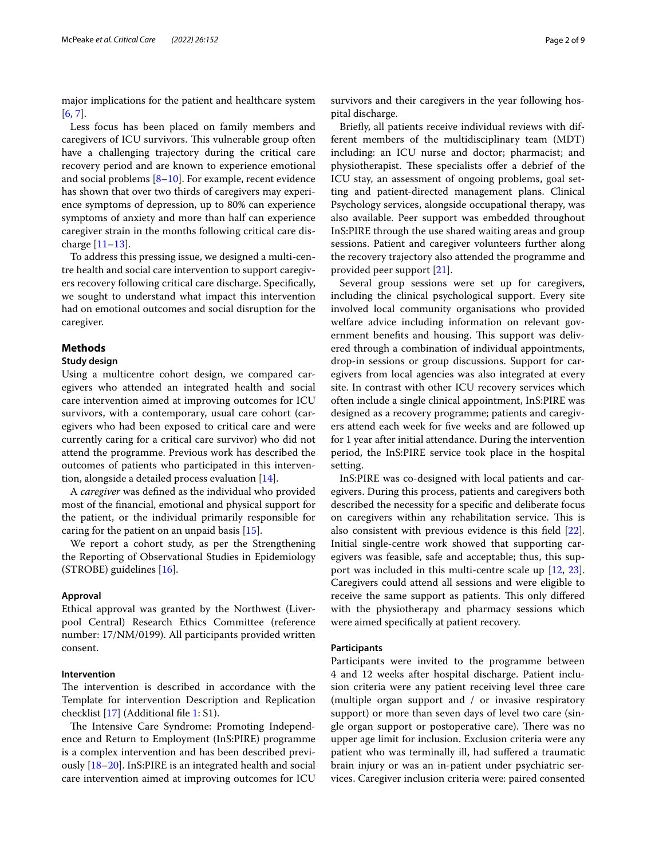major implications for the patient and healthcare system [[6,](#page-7-4) [7](#page-7-5)].

Less focus has been placed on family members and caregivers of ICU survivors. This vulnerable group often have a challenging trajectory during the critical care recovery period and are known to experience emotional and social problems [[8–](#page-7-6)[10](#page-7-7)]. For example, recent evidence has shown that over two thirds of caregivers may experience symptoms of depression, up to 80% can experience symptoms of anxiety and more than half can experience caregiver strain in the months following critical care discharge [\[11](#page-7-8)[–13\]](#page-7-9).

To address this pressing issue, we designed a multi-centre health and social care intervention to support caregivers recovery following critical care discharge. Specifcally, we sought to understand what impact this intervention had on emotional outcomes and social disruption for the caregiver.

## **Methods**

## **Study design**

Using a multicentre cohort design, we compared caregivers who attended an integrated health and social care intervention aimed at improving outcomes for ICU survivors, with a contemporary, usual care cohort (caregivers who had been exposed to critical care and were currently caring for a critical care survivor) who did not attend the programme. Previous work has described the outcomes of patients who participated in this intervention, alongside a detailed process evaluation [\[14](#page-7-10)].

A *caregiver* was defned as the individual who provided most of the fnancial, emotional and physical support for the patient, or the individual primarily responsible for caring for the patient on an unpaid basis [\[15](#page-7-11)].

We report a cohort study, as per the Strengthening the Reporting of Observational Studies in Epidemiology (STROBE) guidelines [[16\]](#page-7-12).

## **Approval**

Ethical approval was granted by the Northwest (Liverpool Central) Research Ethics Committee (reference number: 17/NM/0199). All participants provided written consent.

## **Intervention**

The intervention is described in accordance with the Template for intervention Description and Replication checklist [\[17](#page-7-13)] (Additional fle [1](#page-6-0): S1).

The Intensive Care Syndrome: Promoting Independence and Return to Employment (InS:PIRE) programme is a complex intervention and has been described previously [[18](#page-7-14)[–20](#page-7-15)]. InS:PIRE is an integrated health and social care intervention aimed at improving outcomes for ICU

survivors and their caregivers in the year following hospital discharge.

Briefy, all patients receive individual reviews with different members of the multidisciplinary team (MDT) including: an ICU nurse and doctor; pharmacist; and physiotherapist. These specialists offer a debrief of the ICU stay, an assessment of ongoing problems, goal setting and patient-directed management plans. Clinical Psychology services, alongside occupational therapy, was also available. Peer support was embedded throughout InS:PIRE through the use shared waiting areas and group sessions. Patient and caregiver volunteers further along the recovery trajectory also attended the programme and provided peer support [[21](#page-7-16)].

Several group sessions were set up for caregivers, including the clinical psychological support. Every site involved local community organisations who provided welfare advice including information on relevant government benefits and housing. This support was delivered through a combination of individual appointments, drop-in sessions or group discussions. Support for caregivers from local agencies was also integrated at every site. In contrast with other ICU recovery services which often include a single clinical appointment, InS:PIRE was designed as a recovery programme; patients and caregivers attend each week for fve weeks and are followed up for 1 year after initial attendance. During the intervention period, the InS:PIRE service took place in the hospital setting.

InS:PIRE was co-designed with local patients and caregivers. During this process, patients and caregivers both described the necessity for a specifc and deliberate focus on caregivers within any rehabilitation service. This is also consistent with previous evidence is this feld [\[22](#page-7-17)]. Initial single-centre work showed that supporting caregivers was feasible, safe and acceptable; thus, this support was included in this multi-centre scale up [[12,](#page-7-18) [23](#page-7-19)]. Caregivers could attend all sessions and were eligible to receive the same support as patients. This only differed with the physiotherapy and pharmacy sessions which were aimed specifcally at patient recovery.

#### **Participants**

Participants were invited to the programme between 4 and 12 weeks after hospital discharge. Patient inclusion criteria were any patient receiving level three care (multiple organ support and / or invasive respiratory support) or more than seven days of level two care (single organ support or postoperative care). There was no upper age limit for inclusion. Exclusion criteria were any patient who was terminally ill, had sufered a traumatic brain injury or was an in-patient under psychiatric services. Caregiver inclusion criteria were: paired consented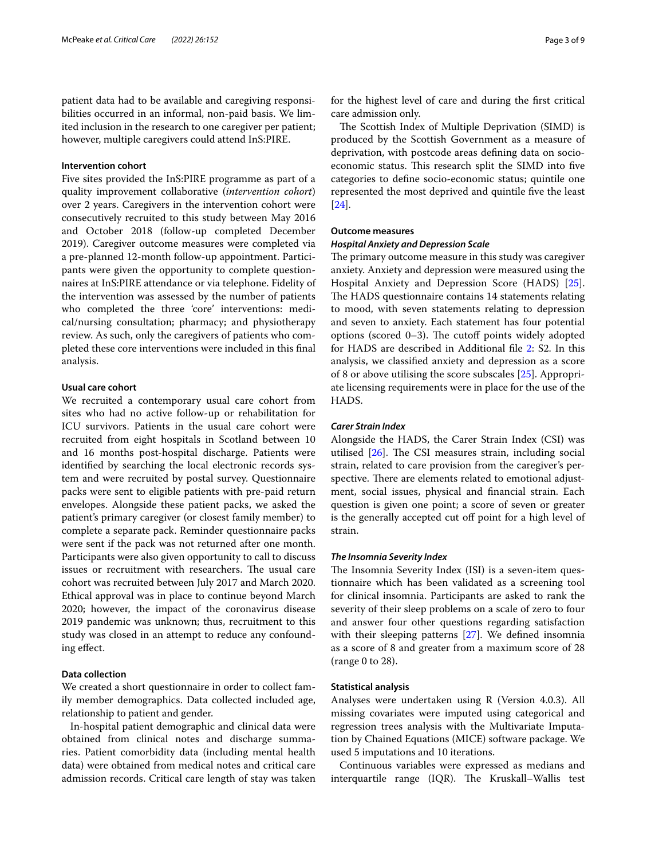patient data had to be available and caregiving responsibilities occurred in an informal, non-paid basis. We limited inclusion in the research to one caregiver per patient; however, multiple caregivers could attend InS:PIRE.

## **Intervention cohort**

Five sites provided the InS:PIRE programme as part of a quality improvement collaborative (*intervention cohort*) over 2 years. Caregivers in the intervention cohort were consecutively recruited to this study between May 2016 and October 2018 (follow-up completed December 2019). Caregiver outcome measures were completed via a pre-planned 12-month follow-up appointment. Participants were given the opportunity to complete questionnaires at InS:PIRE attendance or via telephone. Fidelity of the intervention was assessed by the number of patients who completed the three 'core' interventions: medical/nursing consultation; pharmacy; and physiotherapy review. As such, only the caregivers of patients who completed these core interventions were included in this fnal analysis.

#### **Usual care cohort**

We recruited a contemporary usual care cohort from sites who had no active follow-up or rehabilitation for ICU survivors. Patients in the usual care cohort were recruited from eight hospitals in Scotland between 10 and 16 months post-hospital discharge. Patients were identifed by searching the local electronic records system and were recruited by postal survey. Questionnaire packs were sent to eligible patients with pre-paid return envelopes. Alongside these patient packs, we asked the patient's primary caregiver (or closest family member) to complete a separate pack. Reminder questionnaire packs were sent if the pack was not returned after one month. Participants were also given opportunity to call to discuss issues or recruitment with researchers. The usual care cohort was recruited between July 2017 and March 2020. Ethical approval was in place to continue beyond March 2020; however, the impact of the coronavirus disease 2019 pandemic was unknown; thus, recruitment to this study was closed in an attempt to reduce any confounding efect.

## **Data collection**

We created a short questionnaire in order to collect family member demographics. Data collected included age, relationship to patient and gender.

In-hospital patient demographic and clinical data were obtained from clinical notes and discharge summaries. Patient comorbidity data (including mental health data) were obtained from medical notes and critical care admission records. Critical care length of stay was taken for the highest level of care and during the frst critical care admission only.

The Scottish Index of Multiple Deprivation (SIMD) is produced by the Scottish Government as a measure of deprivation, with postcode areas defning data on socioeconomic status. This research split the SIMD into five categories to defne socio-economic status; quintile one represented the most deprived and quintile fve the least [[24\]](#page-8-0).

## **Outcome measures**

#### *Hospital Anxiety and Depression Scale*

The primary outcome measure in this study was caregiver anxiety. Anxiety and depression were measured using the Hospital Anxiety and Depression Score (HADS) [\[25](#page-8-1)]. The HADS questionnaire contains 14 statements relating to mood, with seven statements relating to depression and seven to anxiety. Each statement has four potential options (scored  $0-3$ ). The cutoff points widely adopted for HADS are described in Additional fle [2:](#page-6-1) S2. In this analysis, we classifed anxiety and depression as a score of 8 or above utilising the score subscales [\[25](#page-8-1)]. Appropriate licensing requirements were in place for the use of the HADS.

## *Carer Strain Index*

Alongside the HADS, the Carer Strain Index (CSI) was utilised  $[26]$  $[26]$ . The CSI measures strain, including social strain, related to care provision from the caregiver's perspective. There are elements related to emotional adjustment, social issues, physical and fnancial strain. Each question is given one point; a score of seven or greater is the generally accepted cut off point for a high level of strain.

## *The Insomnia Severity Index*

The Insomnia Severity Index (ISI) is a seven-item questionnaire which has been validated as a screening tool for clinical insomnia. Participants are asked to rank the severity of their sleep problems on a scale of zero to four and answer four other questions regarding satisfaction with their sleeping patterns [[27\]](#page-8-3). We defned insomnia as a score of 8 and greater from a maximum score of 28 (range 0 to 28).

#### **Statistical analysis**

Analyses were undertaken using R (Version 4.0.3). All missing covariates were imputed using categorical and regression trees analysis with the Multivariate Imputation by Chained Equations (MICE) software package. We used 5 imputations and 10 iterations.

Continuous variables were expressed as medians and interquartile range (IQR). The Kruskall–Wallis test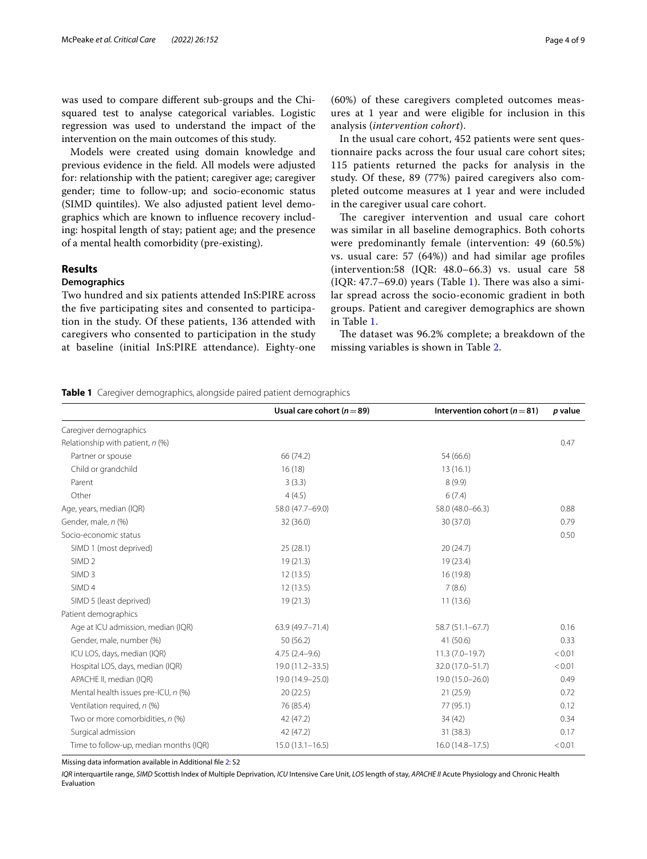was used to compare diferent sub-groups and the Chisquared test to analyse categorical variables. Logistic regression was used to understand the impact of the intervention on the main outcomes of this study.

Models were created using domain knowledge and previous evidence in the feld. All models were adjusted for: relationship with the patient; caregiver age; caregiver gender; time to follow-up; and socio-economic status (SIMD quintiles). We also adjusted patient level demographics which are known to infuence recovery including: hospital length of stay; patient age; and the presence of a mental health comorbidity (pre-existing).

## **Results**

## **Demographics**

Two hundred and six patients attended InS:PIRE across the fve participating sites and consented to participation in the study. Of these patients, 136 attended with caregivers who consented to participation in the study at baseline (initial InS:PIRE attendance). Eighty-one

(60%) of these caregivers completed outcomes measures at 1 year and were eligible for inclusion in this analysis (*intervention cohort*).

In the usual care cohort, 452 patients were sent questionnaire packs across the four usual care cohort sites; 115 patients returned the packs for analysis in the study. Of these, 89 (77%) paired caregivers also completed outcome measures at 1 year and were included in the caregiver usual care cohort.

The caregiver intervention and usual care cohort was similar in all baseline demographics. Both cohorts were predominantly female (intervention: 49 (60.5%) vs. usual care: 57 (64%)) and had similar age profles (intervention:58 (IQR: 48.0–66.3) vs. usual care 58  $(IQR: 47.7–69.0)$  years  $(Table 1)$  $(Table 1)$ . There was also a similar spread across the socio-economic gradient in both groups. Patient and caregiver demographics are shown in Table [1.](#page-3-0)

The dataset was 96.2% complete; a breakdown of the missing variables is shown in Table [2](#page-4-0).

<span id="page-3-0"></span>**Table 1** Caregiver demographics, alongside paired patient demographics

|                                        | Usual care cohort ( $n = 89$ ) | Intervention cohort ( $n = 81$ ) | p value |
|----------------------------------------|--------------------------------|----------------------------------|---------|
| Caregiver demographics                 |                                |                                  |         |
| Relationship with patient, $n$ (%)     |                                |                                  | 0.47    |
| Partner or spouse                      | 66 (74.2)                      | 54 (66.6)                        |         |
| Child or grandchild                    | 16(18)                         | 13(16.1)                         |         |
| Parent                                 | 3(3.3)                         | 8(9.9)                           |         |
| Other                                  | 4(4.5)                         | 6(7.4)                           |         |
| Age, years, median (IQR)               | 58.0 (47.7-69.0)               | 58.0 (48.0-66.3)                 | 0.88    |
| Gender, male, n (%)                    | 32 (36.0)                      | 30 (37.0)                        | 0.79    |
| Socio-economic status                  |                                |                                  | 0.50    |
| SIMD 1 (most deprived)                 | 25(28.1)                       | 20(24.7)                         |         |
| SIMD <sub>2</sub>                      | 19(21.3)                       | 19 (23.4)                        |         |
| SIMD <sub>3</sub>                      | 12(13.5)                       | 16 (19.8)                        |         |
| SIMD <sub>4</sub>                      | 12(13.5)                       | 7(8.6)                           |         |
| SIMD 5 (least deprived)                | 19(21.3)                       | 11(13.6)                         |         |
| Patient demographics                   |                                |                                  |         |
| Age at ICU admission, median (IQR)     | 63.9 (49.7-71.4)               | 58.7 (51.1-67.7)                 | 0.16    |
| Gender, male, number (%)               | 50 (56.2)                      | 41 (50.6)                        | 0.33    |
| ICU LOS, days, median (IQR)            | $4.75(2.4-9.6)$                | $11.3(7.0-19.7)$                 | < 0.01  |
| Hospital LOS, days, median (IQR)       | 19.0 (11.2-33.5)               | 32.0 (17.0-51.7)                 | < 0.01  |
| APACHE II, median (IQR)                | 19.0 (14.9-25.0)               | 19.0 (15.0-26.0)                 | 0.49    |
| Mental health issues pre-ICU, n (%)    | 20(22.5)                       | 21(25.9)                         | 0.72    |
| Ventilation required, n (%)            | 76 (85.4)                      | 77 (95.1)                        | 0.12    |
| Two or more comorbidities, n (%)       | 42 (47.2)                      | 34 (42)                          | 0.34    |
| Surgical admission                     | 42 (47.2)                      | 31 (38.3)                        | 0.17    |
| Time to follow-up, median months (IQR) | $15.0(13.1 - 16.5)$            | $16.0(14.8 - 17.5)$              | < 0.01  |

Missing data information available in Additional fle [2](#page-6-1): S2

*IQR* interquartile range, *SIMD* Scottish Index of Multiple Deprivation, *ICU* Intensive Care Unit, *LOS* length of stay, *APACHE II* Acute Physiology and Chronic Health Evaluation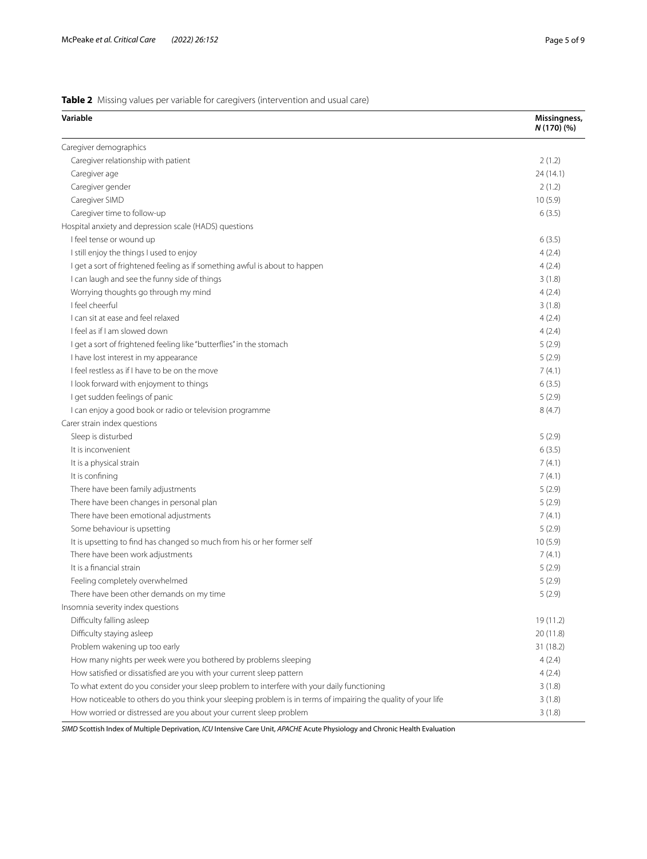## <span id="page-4-0"></span>**Table 2** Missing values per variable for caregivers (intervention and usual care)

| Variable                                                                                                      | Missingness,<br>N (170) (%) |
|---------------------------------------------------------------------------------------------------------------|-----------------------------|
| Caregiver demographics                                                                                        |                             |
| Caregiver relationship with patient                                                                           | 2(1.2)                      |
| Caregiver age                                                                                                 | 24(14.1)                    |
| Caregiver gender                                                                                              | 2(1.2)                      |
| Caregiver SIMD                                                                                                | 10(5.9)                     |
| Caregiver time to follow-up                                                                                   | 6(3.5)                      |
| Hospital anxiety and depression scale (HADS) questions                                                        |                             |
| I feel tense or wound up                                                                                      | 6(3.5)                      |
| I still enjoy the things I used to enjoy                                                                      | 4(2.4)                      |
| I get a sort of frightened feeling as if something awful is about to happen                                   | 4(2.4)                      |
| I can laugh and see the funny side of things                                                                  | 3(1.8)                      |
| Worrying thoughts go through my mind                                                                          | 4(2.4)                      |
| I feel cheerful                                                                                               | 3(1.8)                      |
| I can sit at ease and feel relaxed                                                                            | 4(2.4)                      |
| I feel as if I am slowed down                                                                                 | 4(2.4)                      |
| I get a sort of frightened feeling like "butterflies" in the stomach                                          | 5(2.9)                      |
| I have lost interest in my appearance                                                                         | 5(2.9)                      |
| I feel restless as if I have to be on the move                                                                | 7(4.1)                      |
| I look forward with enjoyment to things                                                                       | 6(3.5)                      |
| I get sudden feelings of panic                                                                                | 5(2.9)                      |
| I can enjoy a good book or radio or television programme                                                      | 8(4.7)                      |
| Carer strain index questions                                                                                  |                             |
| Sleep is disturbed                                                                                            | 5(2.9)                      |
| It is inconvenient                                                                                            | 6(3.5)                      |
| It is a physical strain                                                                                       | 7(4.1)                      |
| It is confining                                                                                               | 7(4.1)                      |
| There have been family adjustments                                                                            | 5(2.9)                      |
| There have been changes in personal plan                                                                      | 5(2.9)                      |
| There have been emotional adjustments                                                                         | 7(4.1)                      |
| Some behaviour is upsetting                                                                                   | 5(2.9)                      |
| It is upsetting to find has changed so much from his or her former self                                       | 10(5.9)                     |
| There have been work adjustments                                                                              | 7(4.1)                      |
| It is a financial strain                                                                                      | 5(2.9)                      |
| Feeling completely overwhelmed                                                                                | 5(2.9)                      |
| There have been other demands on my time                                                                      | 5(2.9)                      |
| Insomnia severity index questions                                                                             |                             |
| Difficulty falling asleep                                                                                     | 19 (11.2)                   |
| Difficulty staying asleep                                                                                     | 20 (11.8)                   |
| Problem wakening up too early                                                                                 | 31 (18.2)                   |
| How many nights per week were you bothered by problems sleeping                                               | 4(2.4)                      |
| How satisfied or dissatisfied are you with your current sleep pattern                                         | 4(2.4)                      |
| To what extent do you consider your sleep problem to interfere with your daily functioning                    | 3(1.8)                      |
| How noticeable to others do you think your sleeping problem is in terms of impairing the quality of your life | 3(1.8)                      |
| How worried or distressed are you about your current sleep problem                                            | 3(1.8)                      |

*SIMD* Scottish Index of Multiple Deprivation, *ICU* Intensive Care Unit, *APACHE* Acute Physiology and Chronic Health Evaluation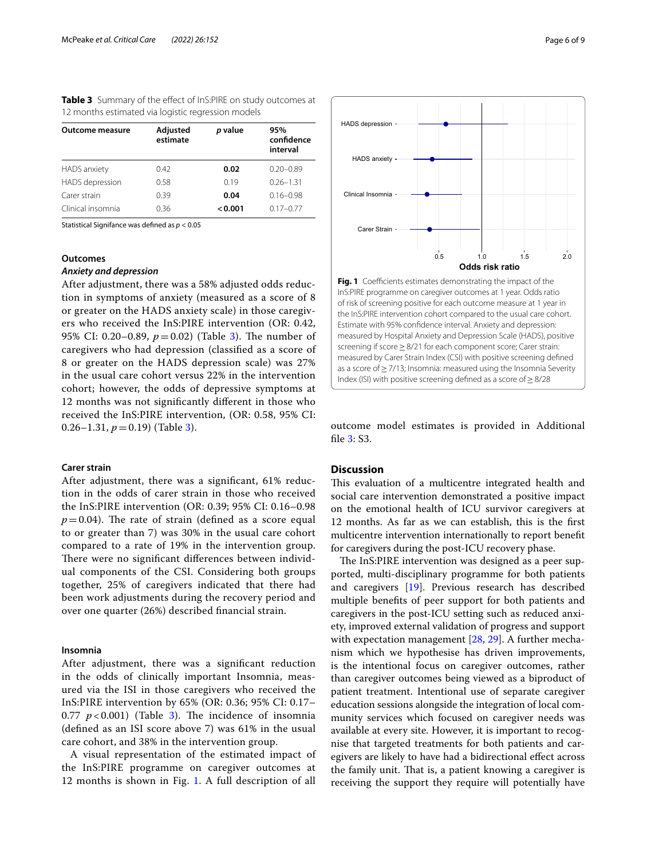<span id="page-5-0"></span>**Table 3** Summary of the effect of InS:PIRE on study outcomes at 12 months estimated via logistic regression models

| <b>Outcome measure</b> | Adjusted<br>estimate | p value | 95%<br>confidence<br>interval |
|------------------------|----------------------|---------|-------------------------------|
| <b>HADS</b> anxiety    | 0.42                 | 0.02    | $0.20 - 0.89$                 |
| HADS depression        | 0.58                 | 0.19    | $0.26 - 1.31$                 |
| Carer strain           | 0.39                 | 0.04    | $0.16 - 0.98$                 |
| Clinical insomnia      | 0.36                 | < 0.001 | $0.17 - 0.77$                 |

Statistical Signifance was defned as *p* < 0.05

## **Outcomes**

## *Anxiety and depression*

After adjustment, there was a 58% adjusted odds reduction in symptoms of anxiety (measured as a score of 8 or greater on the HADS anxiety scale) in those caregivers who received the InS:PIRE intervention (OR: 0.42, 95% CI: 0.20–0.89,  $p = 0.02$ ) (Table [3\)](#page-5-0). The number of caregivers who had depression (classifed as a score of 8 or greater on the HADS depression scale) was 27% in the usual care cohort versus 22% in the intervention cohort; however, the odds of depressive symptoms at 12 months was not signifcantly diferent in those who received the InS:PIRE intervention, (OR: 0.58, 95% CI: 0.26–1.31,  $p = 0.19$  (Table [3\)](#page-5-0).

## **Carer strain**

After adjustment, there was a signifcant, 61% reduction in the odds of carer strain in those who received the InS:PIRE intervention (OR: 0.39; 95% CI: 0.16–0.98  $p=0.04$ ). The rate of strain (defined as a score equal to or greater than 7) was 30% in the usual care cohort compared to a rate of 19% in the intervention group. There were no significant differences between individual components of the CSI. Considering both groups together, 25% of caregivers indicated that there had been work adjustments during the recovery period and over one quarter (26%) described fnancial strain.

## **Insomnia**

After adjustment, there was a signifcant reduction in the odds of clinically important Insomnia, measured via the ISI in those caregivers who received the InS:PIRE intervention by 65% (OR: 0.36; 95% CI: 0.17– 0.77  $p < 0.001$ ) (Table [3\)](#page-5-0). The incidence of insomnia (defned as an ISI score above 7) was 61% in the usual care cohort, and 38% in the intervention group.

A visual representation of the estimated impact of the InS:PIRE programme on caregiver outcomes at 12 months is shown in Fig. [1](#page-5-1). A full description of all



<span id="page-5-1"></span>outcome model estimates is provided in Additional fle [3](#page-6-2): S3.

#### **Discussion**

This evaluation of a multicentre integrated health and social care intervention demonstrated a positive impact on the emotional health of ICU survivor caregivers at 12 months. As far as we can establish, this is the frst multicentre intervention internationally to report beneft for caregivers during the post-ICU recovery phase.

The InS:PIRE intervention was designed as a peer supported, multi-disciplinary programme for both patients and caregivers [\[19\]](#page-7-20). Previous research has described multiple benefts of peer support for both patients and caregivers in the post-ICU setting such as reduced anxiety, improved external validation of progress and support with expectation management [[28](#page-8-4), [29\]](#page-8-5). A further mechanism which we hypothesise has driven improvements, is the intentional focus on caregiver outcomes, rather than caregiver outcomes being viewed as a biproduct of patient treatment. Intentional use of separate caregiver education sessions alongside the integration of local community services which focused on caregiver needs was available at every site. However, it is important to recognise that targeted treatments for both patients and caregivers are likely to have had a bidirectional efect across the family unit. That is, a patient knowing a caregiver is receiving the support they require will potentially have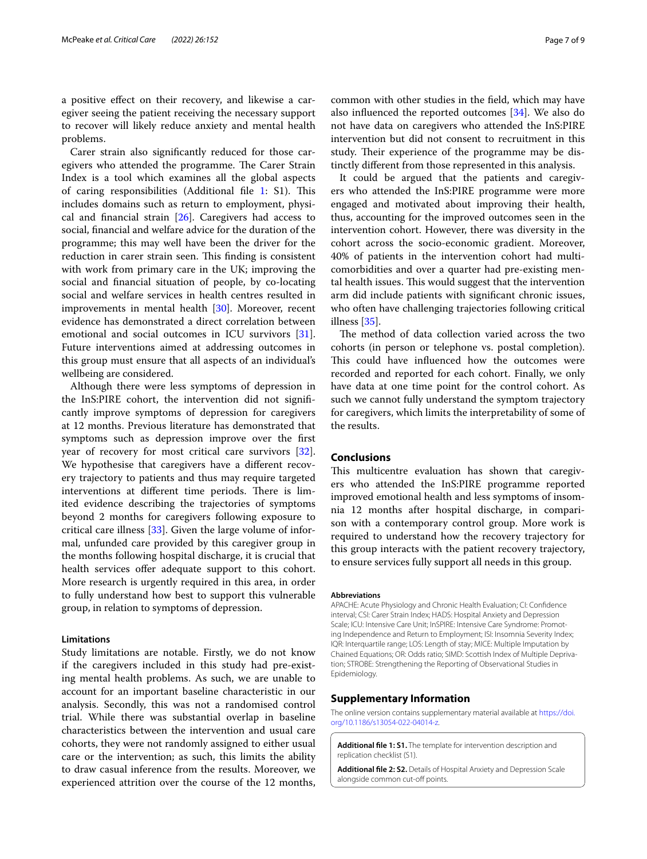a positive efect on their recovery, and likewise a caregiver seeing the patient receiving the necessary support to recover will likely reduce anxiety and mental health problems.

Carer strain also signifcantly reduced for those caregivers who attended the programme. The Carer Strain Index is a tool which examines all the global aspects of caring responsibilities (Additional file [1](#page-6-0): S1). This includes domains such as return to employment, physical and financial strain  $[26]$  $[26]$ . Caregivers had access to social, fnancial and welfare advice for the duration of the programme; this may well have been the driver for the reduction in carer strain seen. This finding is consistent with work from primary care in the UK; improving the social and fnancial situation of people, by co-locating social and welfare services in health centres resulted in improvements in mental health [[30\]](#page-8-6). Moreover, recent evidence has demonstrated a direct correlation between emotional and social outcomes in ICU survivors [\[31](#page-8-7)]. Future interventions aimed at addressing outcomes in this group must ensure that all aspects of an individual's wellbeing are considered.

Although there were less symptoms of depression in the InS:PIRE cohort, the intervention did not signifcantly improve symptoms of depression for caregivers at 12 months. Previous literature has demonstrated that symptoms such as depression improve over the frst year of recovery for most critical care survivors [\[32](#page-8-8)]. We hypothesise that caregivers have a diferent recovery trajectory to patients and thus may require targeted interventions at different time periods. There is limited evidence describing the trajectories of symptoms beyond 2 months for caregivers following exposure to critical care illness [\[33](#page-8-9)]. Given the large volume of informal, unfunded care provided by this caregiver group in the months following hospital discharge, it is crucial that health services offer adequate support to this cohort. More research is urgently required in this area, in order to fully understand how best to support this vulnerable group, in relation to symptoms of depression.

## **Limitations**

Study limitations are notable. Firstly, we do not know if the caregivers included in this study had pre-existing mental health problems. As such, we are unable to account for an important baseline characteristic in our analysis. Secondly, this was not a randomised control trial. While there was substantial overlap in baseline characteristics between the intervention and usual care cohorts, they were not randomly assigned to either usual care or the intervention; as such, this limits the ability to draw casual inference from the results. Moreover, we experienced attrition over the course of the 12 months, common with other studies in the feld, which may have also infuenced the reported outcomes [[34\]](#page-8-10). We also do not have data on caregivers who attended the InS:PIRE intervention but did not consent to recruitment in this study. Their experience of the programme may be distinctly diferent from those represented in this analysis.

It could be argued that the patients and caregivers who attended the InS:PIRE programme were more engaged and motivated about improving their health, thus, accounting for the improved outcomes seen in the intervention cohort. However, there was diversity in the cohort across the socio-economic gradient. Moreover, 40% of patients in the intervention cohort had multicomorbidities and over a quarter had pre-existing mental health issues. This would suggest that the intervention arm did include patients with signifcant chronic issues, who often have challenging trajectories following critical illness [[35](#page-8-11)].

The method of data collection varied across the two cohorts (in person or telephone vs. postal completion). This could have influenced how the outcomes were recorded and reported for each cohort. Finally, we only have data at one time point for the control cohort. As such we cannot fully understand the symptom trajectory for caregivers, which limits the interpretability of some of the results.

## **Conclusions**

This multicentre evaluation has shown that caregivers who attended the InS:PIRE programme reported improved emotional health and less symptoms of insomnia 12 months after hospital discharge, in comparison with a contemporary control group. More work is required to understand how the recovery trajectory for this group interacts with the patient recovery trajectory, to ensure services fully support all needs in this group.

#### **Abbreviations**

APACHE: Acute Physiology and Chronic Health Evaluation; CI: Confdence interval; CSI: Carer Strain Index; HADS: Hospital Anxiety and Depression Scale; ICU: Intensive Care Unit; InSPIRE: Intensive Care Syndrome: Promoting Independence and Return to Employment; ISI: Insomnia Severity Index; IQR: Interquartile range; LOS: Length of stay; MICE: Multiple Imputation by Chained Equations; OR: Odds ratio; SIMD: Scottish Index of Multiple Deprivation; STROBE: Strengthening the Reporting of Observational Studies in Epidemiology.

## **Supplementary Information**

The online version contains supplementary material available at [https://doi.](https://doi.org/10.1186/s13054-022-04014-z) [org/10.1186/s13054-022-04014-z.](https://doi.org/10.1186/s13054-022-04014-z)

<span id="page-6-1"></span><span id="page-6-0"></span>**Additional fle 1: S1.** The template for intervention description and replication checklist (S1).

<span id="page-6-2"></span>**Additional fle 2: S2.** Details of Hospital Anxiety and Depression Scale alongside common cut-off points.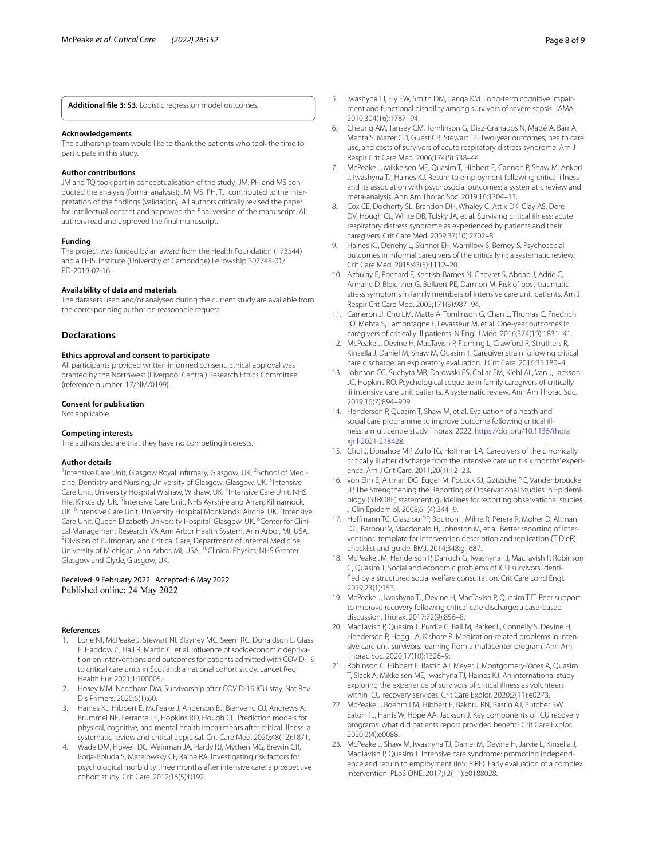**Additional fle 3: S3.** Logistic regression model outcomes.

#### **Acknowledgements**

The authorship team would like to thank the patients who took the time to participate in this study.

#### **Author contributions**

JM and TQ took part in conceptualisation of the study; JM, PH and MS conducted the analysis (formal analysis); JM, MS, PH, TJI contributed to the interpretation of the fndings (validation). All authors critically revised the paper for intellectual content and approved the fnal version of the manuscript. All authors read and approved the fnal manuscript.

## **Funding**

The project was funded by an award from the Health Foundation (173544) and a THIS. Institute (University of Cambridge) Fellowship 307748-01/ PD-2019-02-16.

#### **Availability of data and materials**

The datasets used and/or analysed during the current study are available from the corresponding author on reasonable request.

#### **Declarations**

## **Ethics approval and consent to participate**

All participants provided written informed consent. Ethical approval was granted by the Northwest (Liverpool Central) Research Ethics Committee (reference number: 17/NM/0199).

#### **Consent for publication**

Not applicable.

#### **Competing interests**

The authors declare that they have no competing interests.

#### **Author details**

<sup>1</sup> Intensive Care Unit, Glasgow Royal Infirmary, Glasgow, UK.<sup>2</sup> School of Medicine, Dentistry and Nursing, University of Glasgow, Glasgow, UK.<sup>3</sup> Intensive Care Unit, University Hospital Wishaw, Wishaw, UK. <sup>4</sup>Intensive Care Unit, NHS Fife, Kirkcaldy, UK.<sup>5</sup> Intensive Care Unit, NHS Ayrshire and Arran, Kilmarnock, UK. <sup>6</sup>Intensive Care Unit, University Hospital Monklands, Airdrie, UK. <sup>7</sup>Intensive Care Unit, Queen Elizabeth University Hospital, Glasgow, UK. <sup>8</sup>Center for Clinical Management Research, VA Ann Arbor Health System, Ann Arbor, MI, USA. <sup>9</sup> Division of Pulmonary and Critical Care, Department of Internal Medicine, University of Michigan, Ann Arbor, MI, USA. <sup>10</sup>Clinical Physics, NHS Greater Glasgow and Clyde, Glasgow, UK.

#### Received: 9 February 2022 Accepted: 6 May 2022 Published online: 24 May 2022

#### **References**

- <span id="page-7-0"></span>Lone NI, McPeake J, Stewart NI, Blayney MC, Seem RC, Donaldson L, Glass E, Haddow C, Hall R, Martin C, et al. Infuence of socioeconomic deprivation on interventions and outcomes for patients admitted with COVID-19 to critical care units in Scotland: a national cohort study. Lancet Reg Health Eur. 2021;1:100005.
- <span id="page-7-1"></span>2. Hosey MM, Needham DM. Survivorship after COVID-19 ICU stay. Nat Rev Dis Primers. 2020;6(1):60.
- <span id="page-7-2"></span>3. Haines KJ, Hibbert E, McPeake J, Anderson BJ, Bienvenu OJ, Andrews A, Brummel NE, Ferrante LE, Hopkins RO, Hough CL. Prediction models for physical, cognitive, and mental health impairments after critical illness: a systematic review and critical appraisal. Crit Care Med. 2020;48(12):1871.
- 4. Wade DM, Howell DC, Weinman JA, Hardy RJ, Mythen MG, Brewin CR, Borja-Boluda S, Matejowsky CF, Raine RA. Investigating risk factors for psychological morbidity three months after intensive care: a prospective cohort study. Crit Care. 2012;16(5):R192.
- <span id="page-7-3"></span>5. Iwashyna TJ, Ely EW, Smith DM, Langa KM. Long-term cognitive impairment and functional disability among survivors of severe sepsis. JAMA. 2010;304(16):1787–94.
- <span id="page-7-4"></span>6. Cheung AM, Tansey CM, Tomlinson G, Diaz-Granados N, Matté A, Barr A, Mehta S, Mazer CD, Guest CB, Stewart TE. Two-year outcomes, health care use, and costs of survivors of acute respiratory distress syndrome. Am J Respir Crit Care Med. 2006;174(5):538–44.
- <span id="page-7-5"></span>7. McPeake J, Mikkelsen ME, Quasim T, Hibbert E, Cannon P, Shaw M, Ankori J, Iwashyna TJ, Haines KJ. Return to employment following critical illness and its association with psychosocial outcomes: a systematic review and meta-analysis. Ann Am Thorac Soc. 2019;16:1304–11.
- <span id="page-7-6"></span>8. Cox CE, Docherty SL, Brandon DH, Whaley C, Attix DK, Clay AS, Dore DV, Hough CL, White DB, Tulsky JA, et al. Surviving critical illness: acute respiratory distress syndrome as experienced by patients and their caregivers. Crit Care Med. 2009;37(10):2702–8.
- 9. Haines KJ, Denehy L, Skinner EH, Warrillow S, Berney S. Psychosocial outcomes in informal caregivers of the critically ill: a systematic review. Crit Care Med. 2015;43(5):1112–20.
- <span id="page-7-7"></span>10. Azoulay E, Pochard F, Kentish-Barnes N, Chevret S, Aboab J, Adrie C, Annane D, Bleichner G, Bollaert PE, Darmon M. Risk of post-traumatic stress symptoms in family members of intensive care unit patients. Am J Respir Crit Care Med. 2005;171(9):987–94.
- <span id="page-7-8"></span>11. Cameron JI, Chu LM, Matte A, Tomlinson G, Chan L, Thomas C, Friedrich JO, Mehta S, Lamontagne F, Levasseur M, et al. One-year outcomes in caregivers of critically ill patients. N Engl J Med. 2016;374(19):1831–41.
- <span id="page-7-18"></span>12. McPeake J, Devine H, MacTavish P, Fleming L, Crawford R, Struthers R, Kinsella J, Daniel M, Shaw M, Quasim T. Caregiver strain following critical care discharge: an exploratory evaluation. J Crit Care. 2016;35:180–4.
- <span id="page-7-9"></span>13. Johnson CC, Suchyta MR, Darowski ES, Collar EM, Kiehl AL, Van J, Jackson JC, Hopkins RO. Psychological sequelae in family caregivers of critically iii intensive care unit patients. A systematic review. Ann Am Thorac Soc. 2019;16(7):894–909.
- <span id="page-7-10"></span>14. Henderson P, Quasim T, Shaw M, et al. Evaluation of a heath and social care programme to improve outcome following critical illness: a multicentre study. Thorax. 2022. [https://doi.org/10.1136/thora](https://doi.org/10.1136/thoraxjnl-2021-218428) [xjnl-2021-218428](https://doi.org/10.1136/thoraxjnl-2021-218428).
- <span id="page-7-11"></span>15. Choi J, Donahoe MP, Zullo TG, Hofman LA. Caregivers of the chronically critically ill after discharge from the intensive care unit: six months' experience. Am J Crit Care. 2011;20(1):12–23.
- <span id="page-7-12"></span>16. von Elm E, Altman DG, Egger M, Pocock SJ, Gøtzsche PC, Vandenbroucke JP. The Strengthening the Reporting of Observational Studies in Epidemiology (STROBE) statement: guidelines for reporting observational studies. J Clin Epidemiol. 2008;61(4):344–9.
- <span id="page-7-13"></span>17. Hofmann TC, Glasziou PP, Boutron I, Milne R, Perera R, Moher D, Altman DG, Barbour V, Macdonald H, Johnston M, et al. Better reporting of interventions: template for intervention description and replication (TIDieR) checklist and guide. BMJ. 2014;348:g1687.
- <span id="page-7-14"></span>18. McPeake JM, Henderson P, Darroch G, Iwashyna TJ, MacTavish P, Robinson C, Quasim T. Social and economic problems of ICU survivors identifed by a structured social welfare consultation. Crit Care Lond Engl. 2019;23(1):153.
- <span id="page-7-20"></span>19. McPeake J, Iwashyna TJ, Devine H, MacTavish P, Quasim TJT. Peer support to improve recovery following critical care discharge: a case-based discussion. Thorax. 2017;72(9):856–8.
- <span id="page-7-15"></span>20. MacTavish P, Quasim T, Purdie C, Ball M, Barker L, Connelly S, Devine H, Henderson P, Hogg LA, Kishore R. Medication-related problems in intensive care unit survivors: learning from a multicenter program. Ann Am Thorac Soc. 2020;17(10):1326–9.
- <span id="page-7-16"></span>21. Robinson C, Hibbert E, Bastin AJ, Meyer J, Montgomery-Yates A, Quasim T, Slack A, Mikkelsen ME, Iwashyna TJ, Haines KJ. An international study exploring the experience of survivors of critical illness as volunteers within ICU recovery services. Crit Care Explor. 2020;2(11):e0273.
- <span id="page-7-17"></span>22. McPeake J, Boehm LM, Hibbert E, Bakhru RN, Bastin AJ, Butcher BW, Eaton TL, Harris W, Hope AA, Jackson J. Key components of ICU recovery programs: what did patients report provided beneft? Crit Care Explor. 2020;2(4):e0088.
- <span id="page-7-19"></span>23. McPeake J, Shaw M, Iwashyna TJ, Daniel M, Devine H, Jarvie L, Kinsella J, MacTavish P, Quasim T. Intensive care syndrome: promoting independence and return to employment (InS: PIRE). Early evaluation of a complex intervention. PLoS ONE. 2017;12(11):e0188028.